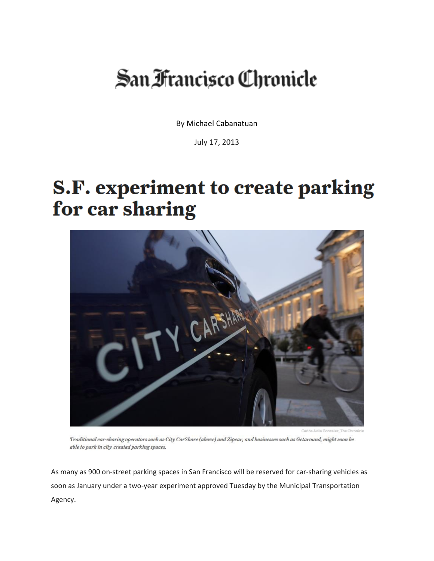## San Francisco Chronicle

By [Michael Cabanatuan](http://www.sfchronicle.com/author/michael-cabanatuan)

July 17, 2013

## **S.F. experiment to create parking** for car sharing



Traditional car-sharing operators such as City CarShare (above) and Zipcar, and businesses such as Getaround, might soon be able to park in city-created parking spaces.

As many as 900 on-street parking spaces in San Francisco will be reserved for car-sharing vehicles as soon as January under a two-year experiment approved Tuesday by the Municipal Transportation Agency.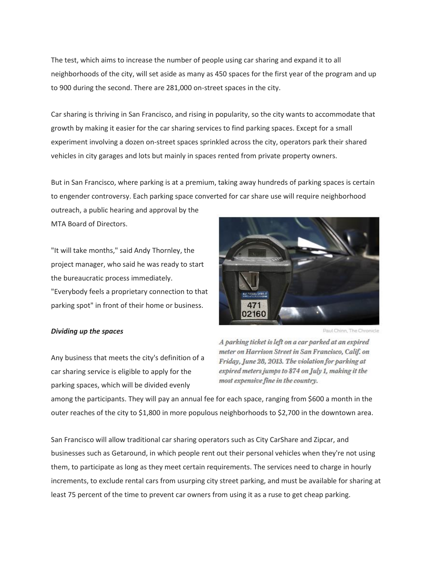The test, which aims to increase the number of people using car sharing and expand it to all neighborhoods of the city, will set aside as many as 450 spaces for the first year of the program and up to 900 during the second. There are 281,000 on-street spaces in the city.

Car sharing is thriving in San Francisco, and rising in popularity, so the city wants to accommodate that growth by making it easier for the car sharing services to find parking spaces. Except for a small experiment involving a dozen on-street spaces sprinkled across the city, operators park their shared vehicles in city garages and lots but mainly in spaces rented from private property owners.

But in San Francisco, where parking is at a premium, taking away hundreds of parking spaces is certain to engender controversy. Each parking space converted for car share use will require neighborhood

outreach, a public hearing and approval by the MTA Board of Directors.

"It will take months," said Andy Thornley, the project manager, who said he was ready to start the bureaucratic process immediately. "Everybody feels a proprietary connection to that parking spot" in front of their home or business.



## *Dividing up the spaces*

Paul Chinn, The Chronicle

Any business that meets the city's definition of a car sharing service is eligible to apply for the parking spaces, which will be divided evenly

A parking ticket is left on a car parked at an expired meter on Harrison Street in San Francisco, Calif. on Friday, June 28, 2013. The violation for parking at expired meters jumps to \$74 on July 1, making it the most expensive fine in the country.

among the participants. They will pay an annual fee for each space, ranging from \$600 a month in the outer reaches of the city to \$1,800 in more populous neighborhoods to \$2,700 in the downtown area.

San Francisco will allow traditional car sharing operators such as City CarShare and Zipcar, and businesses such as Getaround, in which people rent out their personal vehicles when they're not using them, to participate as long as they meet certain requirements. The services need to charge in hourly increments, to exclude rental cars from usurping city street parking, and must be available for sharing at least 75 percent of the time to prevent car owners from using it as a ruse to get cheap parking.